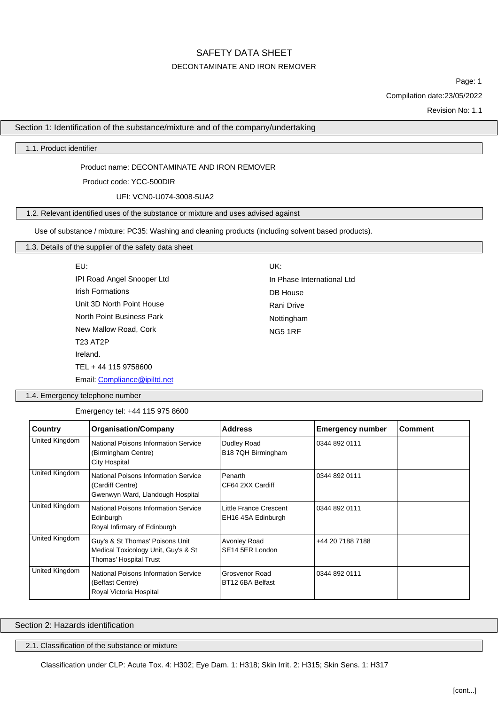### DECONTAMINATE AND IRON REMOVER

Page: 1

Compilation date:23/05/2022

Revision No: 1.1

Section 1: Identification of the substance/mixture and of the company/undertaking

1.1. Product identifier

Product name: DECONTAMINATE AND IRON REMOVER

Product code: YCC-500DIR

UFI: VCN0-U074-3008-5UA2

### 1.2. Relevant identified uses of the substance or mixture and uses advised against

Use of substance / mixture: PC35: Washing and cleaning products (including solvent based products).

## 1.3. Details of the supplier of the safety data sheet

| EU:                        | UK:                        |
|----------------------------|----------------------------|
| IPI Road Angel Snooper Ltd | In Phase International Ltd |
| <b>Irish Formations</b>    | DB House                   |
| Unit 3D North Point House  | Rani Drive                 |
| North Point Business Park  | Nottingham                 |
| New Mallow Road, Cork      | <b>NG5 1RF</b>             |
| <b>T23 AT2P</b>            |                            |
| Ireland.                   |                            |
| TEL + 44 115 9758600       |                            |
|                            |                            |

Email: [Compliance@ipiltd.net](mailto:Compliance@ipiltd.net)

1.4. Emergency telephone number

Emergency tel: +44 115 975 8600

| Country                                                                                                        | <b>Organisation/Company</b>                                                                      | <b>Address</b>                               | <b>Emergency number</b> | <b>Comment</b> |
|----------------------------------------------------------------------------------------------------------------|--------------------------------------------------------------------------------------------------|----------------------------------------------|-------------------------|----------------|
| United Kingdom                                                                                                 | National Poisons Information Service<br>(Birmingham Centre)<br><b>City Hospital</b>              | Dudley Road<br>B18 7QH Birmingham            | 0344 892 0111           |                |
| United Kingdom<br>National Poisons Information Service<br>(Cardiff Centre)<br>Gwenwyn Ward, Llandough Hospital |                                                                                                  | Penarth<br>CF64 2XX Cardiff                  | 0344 892 0111           |                |
| United Kingdom                                                                                                 | National Poisons Information Service<br>Edinburgh<br>Royal Infirmary of Edinburgh                | Little France Crescent<br>EH16 4SA Edinburgh | 0344 892 0111           |                |
| United Kingdom                                                                                                 | Guy's & St Thomas' Poisons Unit<br>Medical Toxicology Unit, Guy's & St<br>Thomas' Hospital Trust | Avonley Road<br>SE14 5ER London              | +44 20 7188 7188        |                |
| United Kingdom                                                                                                 | National Poisons Information Service<br>(Belfast Centre)<br>Royal Victoria Hospital              | Grosvenor Road<br>BT12 6BA Belfast           | 0344 892 0111           |                |

Section 2: Hazards identification

2.1. Classification of the substance or mixture

Classification under CLP: Acute Tox. 4: H302; Eye Dam. 1: H318; Skin Irrit. 2: H315; Skin Sens. 1: H317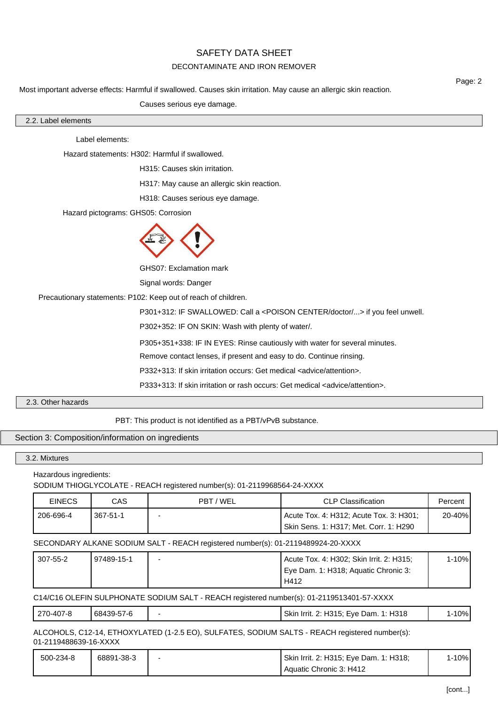## DECONTAMINATE AND IRON REMOVER

Most important adverse effects: Harmful if swallowed. Causes skin irritation. May cause an allergic skin reaction.

Causes serious eye damage.

| ⌒<br>2.2. Label elements |  |  |
|--------------------------|--|--|

Label elements:

Hazard statements: H302: Harmful if swallowed.

H315: Causes skin irritation.

H317: May cause an allergic skin reaction.

H318: Causes serious eye damage.

Hazard pictograms: GHS05: Corrosion



GHS07: Exclamation mark

Signal words: Danger

Precautionary statements: P102: Keep out of reach of children.

P301+312: IF SWALLOWED: Call a <POISON CENTER/doctor/...> if you feel unwell.

P302+352: IF ON SKIN: Wash with plenty of water/.

P305+351+338: IF IN EYES: Rinse cautiously with water for several minutes.

Remove contact lenses, if present and easy to do. Continue rinsing.

P332+313: If skin irritation occurs: Get medical <advice/attention>.

P333+313: If skin irritation or rash occurs: Get medical <advice/attention>.

## 2.3. Other hazards

PBT: This product is not identified as a PBT/vPvB substance.

### Section 3: Composition/information on ingredients

### 3.2. Mixtures

Hazardous ingredients:

SODIUM THIOGLYCOLATE - REACH registered number(s): 01-2119968564-24-XXXX

| <b>EINECS</b> | CAS      | PBT / WEL | <b>CLP Classification</b>               | Percent |
|---------------|----------|-----------|-----------------------------------------|---------|
| 206-696-4     | 367-51-1 |           | Acute Tox. 4: H312; Acute Tox. 3: H301; | 20-40%  |
|               |          |           | Skin Sens. 1: H317; Met. Corr. 1: H290  |         |

SECONDARY ALKANE SODIUM SALT - REACH registered number(s): 01-2119489924-20-XXXX

| 307-55-2 | 97489-15-1 | Acute Tox. 4: H302; Skin Irrit. 2: H315; | l-10% |
|----------|------------|------------------------------------------|-------|
|          |            | Eye Dam. 1: H318; Aquatic Chronic 3:     |       |
|          |            | H412                                     |       |

C14/C16 OLEFIN SULPHONATE SODIUM SALT - REACH registered number(s): 01-2119513401-57-XXXX

|  | 270-407-8 | 68439-57-6 |  | 2: H315; Eye Dam.<br>1: H318<br>Skin<br>≧ Irrit. 2: . | 10% |
|--|-----------|------------|--|-------------------------------------------------------|-----|
|--|-----------|------------|--|-------------------------------------------------------|-----|

ALCOHOLS, C12-14, ETHOXYLATED (1-2.5 EO), SULFATES, SODIUM SALTS - REACH registered number(s): 01-2119488639-16-XXXX

| 500-234-8 | 68891-38-3 | Skin Irrit. 2: H315; Eye Dam. 1: H318; | $-10%$ |
|-----------|------------|----------------------------------------|--------|
|           |            | Aquatic Chronic 3: H412                |        |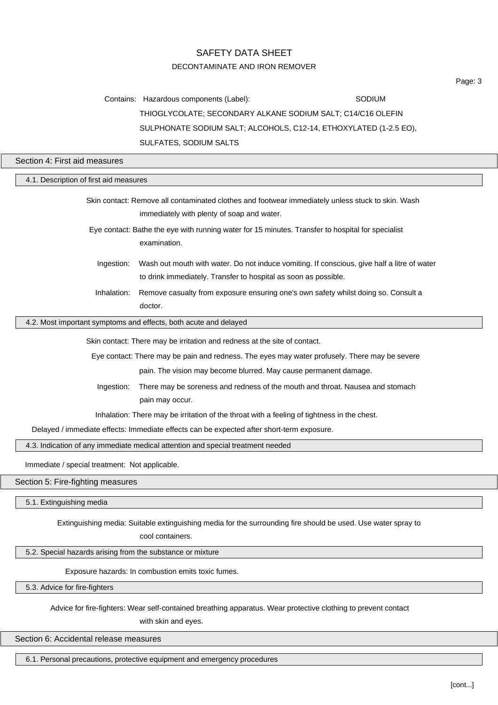# SAFETY DATA SHEET DECONTAMINATE AND IRON REMOVER

Contains: Hazardous components (Label): SODIUM THIOGLYCOLATE; SECONDARY ALKANE SODIUM SALT; C14/C16 OLEFIN SULPHONATE SODIUM SALT; ALCOHOLS, C12-14, ETHOXYLATED (1-2.5 EO), SULFATES, SODIUM SALTS

Section 4: First aid measures

| 4.1. Description of first aid measures                                                                                                                                       |                                                                                                                                                 |  |
|------------------------------------------------------------------------------------------------------------------------------------------------------------------------------|-------------------------------------------------------------------------------------------------------------------------------------------------|--|
|                                                                                                                                                                              | Skin contact: Remove all contaminated clothes and footwear immediately unless stuck to skin. Wash<br>immediately with plenty of soap and water. |  |
| Eye contact: Bathe the eye with running water for 15 minutes. Transfer to hospital for specialist<br>examination.                                                            |                                                                                                                                                 |  |
| Wash out mouth with water. Do not induce vomiting. If conscious, give half a litre of water<br>Ingestion:<br>to drink immediately. Transfer to hospital as soon as possible. |                                                                                                                                                 |  |
| Inhalation:                                                                                                                                                                  | Remove casualty from exposure ensuring one's own safety whilst doing so. Consult a<br>doctor.                                                   |  |
|                                                                                                                                                                              | 4.2. Most important symptoms and effects, both acute and delayed                                                                                |  |
| Skin contact: There may be irritation and redness at the site of contact.                                                                                                    |                                                                                                                                                 |  |
|                                                                                                                                                                              | Eye contact: There may be pain and redness. The eyes may water profusely. There may be severe                                                   |  |
|                                                                                                                                                                              | pain. The vision may become blurred. May cause permanent damage.                                                                                |  |
| Ingestion:                                                                                                                                                                   | There may be soreness and redness of the mouth and throat. Nausea and stomach                                                                   |  |
|                                                                                                                                                                              | pain may occur.                                                                                                                                 |  |
| Inhalation: There may be irritation of the throat with a feeling of tightness in the chest.                                                                                  |                                                                                                                                                 |  |
| Delayed / immediate effects: Immediate effects can be expected after short-term exposure.                                                                                    |                                                                                                                                                 |  |
| 4.3. Indication of any immediate medical attention and special treatment needed                                                                                              |                                                                                                                                                 |  |
| Immediate / special treatment: Not applicable.                                                                                                                               |                                                                                                                                                 |  |
| Section 5: Fire-fighting measures                                                                                                                                            |                                                                                                                                                 |  |
| 5.1. Extinguishing media                                                                                                                                                     |                                                                                                                                                 |  |
|                                                                                                                                                                              | Extinguishing media: Suitable extinguishing media for the surrounding fire should be used. Use water spray to<br>cool containers.               |  |

5.2. Special hazards arising from the substance or mixture

Exposure hazards: In combustion emits toxic fumes.

5.3. Advice for fire-fighters

Advice for fire-fighters: Wear self-contained breathing apparatus. Wear protective clothing to prevent contact

with skin and eyes.

Section 6: Accidental release measures

6.1. Personal precautions, protective equipment and emergency procedures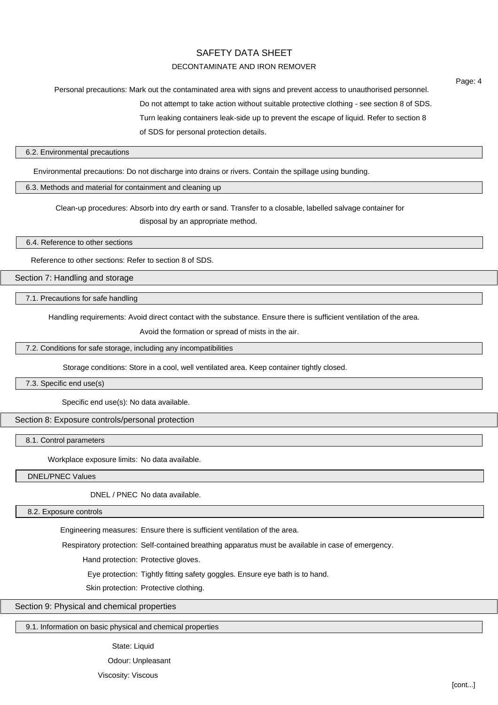### DECONTAMINATE AND IRON REMOVER

Personal precautions: Mark out the contaminated area with signs and prevent access to unauthorised personnel.

Do not attempt to take action without suitable protective clothing - see section 8 of SDS.

Turn leaking containers leak-side up to prevent the escape of liquid. Refer to section 8

of SDS for personal protection details.

#### 6.2. Environmental precautions

Environmental precautions: Do not discharge into drains or rivers. Contain the spillage using bunding.

#### 6.3. Methods and material for containment and cleaning up

Clean-up procedures: Absorb into dry earth or sand. Transfer to a closable, labelled salvage container for disposal by an appropriate method.

6.4. Reference to other sections

Reference to other sections: Refer to section 8 of SDS.

Section 7: Handling and storage

7.1. Precautions for safe handling

Handling requirements: Avoid direct contact with the substance. Ensure there is sufficient ventilation of the area.

Avoid the formation or spread of mists in the air.

7.2. Conditions for safe storage, including any incompatibilities

Storage conditions: Store in a cool, well ventilated area. Keep container tightly closed.

7.3. Specific end use(s)

Specific end use(s): No data available.

Section 8: Exposure controls/personal protection

8.1. Control parameters

Workplace exposure limits: No data available.

DNEL/PNEC Values

DNEL / PNEC No data available.

8.2. Exposure controls

Engineering measures: Ensure there is sufficient ventilation of the area.

Respiratory protection: Self-contained breathing apparatus must be available in case of emergency.

Hand protection: Protective gloves.

Eye protection: Tightly fitting safety goggles. Ensure eye bath is to hand.

Skin protection: Protective clothing.

### Section 9: Physical and chemical properties

9.1. Information on basic physical and chemical properties

State: Liquid Odour: Unpleasant Viscosity: Viscous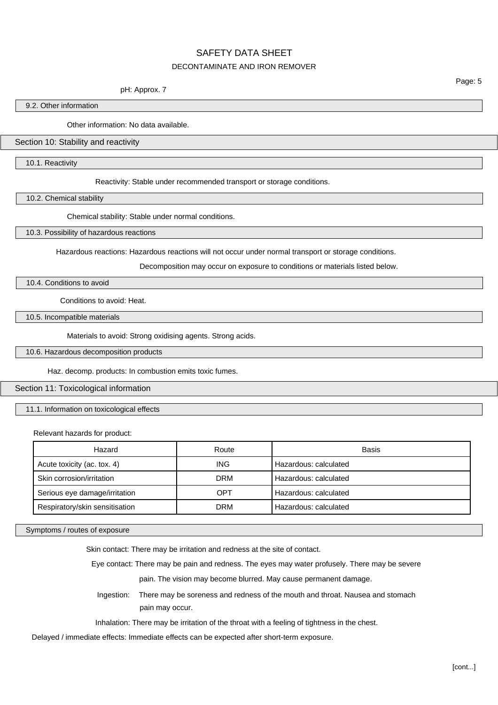# SAFETY DATA SHEET DECONTAMINATE AND IRON REMOVER

#### pH: Approx. 7

Page: 5

9.2. Other information

Other information: No data available.

## Section 10: Stability and reactivity

10.1. Reactivity

Reactivity: Stable under recommended transport or storage conditions.

10.2. Chemical stability

Chemical stability: Stable under normal conditions.

10.3. Possibility of hazardous reactions

Hazardous reactions: Hazardous reactions will not occur under normal transport or storage conditions.

Decomposition may occur on exposure to conditions or materials listed below.

10.4. Conditions to avoid

Conditions to avoid: Heat.

10.5. Incompatible materials

Materials to avoid: Strong oxidising agents. Strong acids.

10.6. Hazardous decomposition products

Haz. decomp. products: In combustion emits toxic fumes.

Section 11: Toxicological information

11.1. Information on toxicological effects

Relevant hazards for product:

| Hazard                         | Route      | Basis                 |
|--------------------------------|------------|-----------------------|
| Acute toxicity (ac. tox. 4)    | <b>ING</b> | Hazardous: calculated |
| Skin corrosion/irritation      | <b>DRM</b> | Hazardous: calculated |
| Serious eye damage/irritation  | OPT        | Hazardous: calculated |
| Respiratory/skin sensitisation | <b>DRM</b> | Hazardous: calculated |

Symptoms / routes of exposure

Skin contact: There may be irritation and redness at the site of contact.

Eye contact: There may be pain and redness. The eyes may water profusely. There may be severe

pain. The vision may become blurred. May cause permanent damage.

Ingestion: There may be soreness and redness of the mouth and throat. Nausea and stomach pain may occur.

Inhalation: There may be irritation of the throat with a feeling of tightness in the chest.

Delayed / immediate effects: Immediate effects can be expected after short-term exposure.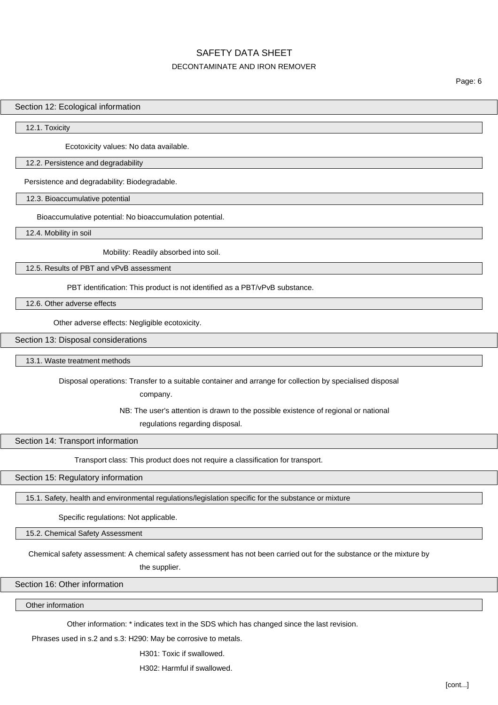## DECONTAMINATE AND IRON REMOVER

## Section 12: Ecological information

12.1. Toxicity

Ecotoxicity values: No data available.

### 12.2. Persistence and degradability

Persistence and degradability: Biodegradable.

12.3. Bioaccumulative potential

Bioaccumulative potential: No bioaccumulation potential.

12.4. Mobility in soil

Mobility: Readily absorbed into soil.

12.5. Results of PBT and vPvB assessment

PBT identification: This product is not identified as a PBT/vPvB substance.

12.6. Other adverse effects

Other adverse effects: Negligible ecotoxicity.

Section 13: Disposal considerations

13.1. Waste treatment methods

Disposal operations: Transfer to a suitable container and arrange for collection by specialised disposal

company.

NB: The user's attention is drawn to the possible existence of regional or national

regulations regarding disposal.

Section 14: Transport information

Transport class: This product does not require a classification for transport.

Section 15: Regulatory information

15.1. Safety, health and environmental regulations/legislation specific for the substance or mixture

Specific regulations: Not applicable.

15.2. Chemical Safety Assessment

Chemical safety assessment: A chemical safety assessment has not been carried out for the substance or the mixture by

the supplier.

Section 16: Other information

Other information

Other information: \* indicates text in the SDS which has changed since the last revision.

Phrases used in s.2 and s.3: H290: May be corrosive to metals.

H301: Toxic if swallowed.

H302: Harmful if swallowed.